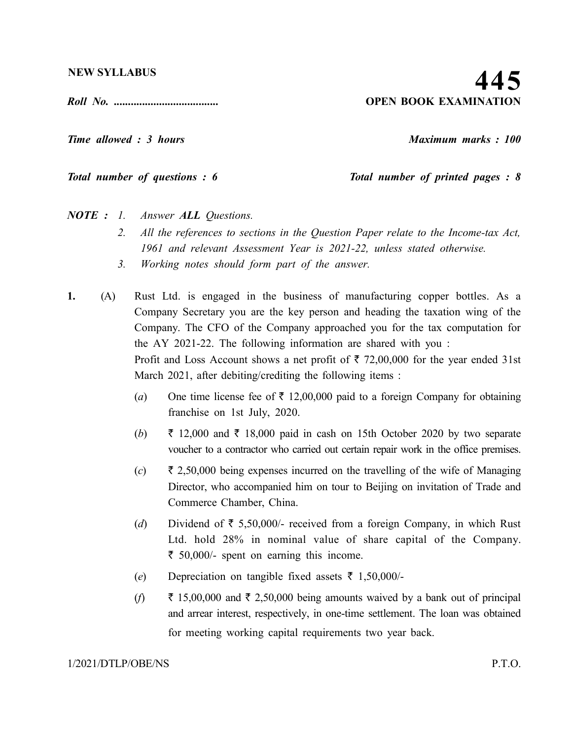*Total number of questions : 6* Total number of printed pages : 8

*NOTE : 1. Answer ALL Questions.*

- *2. All the references to sections in the Question Paper relate to the Income-tax Act, 1961 and relevant Assessment Year is 2021-22, unless stated otherwise.*
- *3. Working notes should form part of the answer.*
- **1.** (A) Rust Ltd. is engaged in the business of manufacturing copper bottles. As a Company Secretary you are the key person and heading the taxation wing of the Company. The CFO of the Company approached you for the tax computation for the AY 2021-22. The following information are shared with you : Profit and Loss Account shows a net profit of  $\bar{\tau}$  72,00,000 for the year ended 31st March 2021, after debiting/crediting the following items :
	- (*a*) One time license fee of  $\bar{\tau}$  12,00,000 paid to a foreign Company for obtaining franchise on 1st July, 2020.
	- (*b*)  $\bar{\tau}$  12,000 and  $\bar{\tau}$  18,000 paid in cash on 15th October 2020 by two separate voucher to a contractor who carried out certain repair work in the office premises.
	- $(c)$   $\bar{\tau}$  2,50,000 being expenses incurred on the travelling of the wife of Managing Director, who accompanied him on tour to Beijing on invitation of Trade and Commerce Chamber, China.
	- (*d*) Dividend of  $\bar{\tau}$  5,50,000/- received from a foreign Company, in which Rust Ltd. hold 28% in nominal value of share capital of the Company.  $\bar{\tau}$  50,000/- spent on earning this income.
	- (*e*) Depreciation on tangible fixed assets  $\bar{\tau}$  1,50,000/-
	- $(f)$   $\bar{\tau}$  15,00,000 and  $\bar{\tau}$  2,50,000 being amounts waived by a bank out of principal and arrear interest, respectively, in one-time settlement. The loan was obtained for meeting working capital requirements two year back.

1/2021/DTLP/OBE/NS P.T.O.

### **445** *Roll No. .....................................* **OPEN BOOK EXAMINATION**

*Time allowed : 3 hours Maximum marks : 100*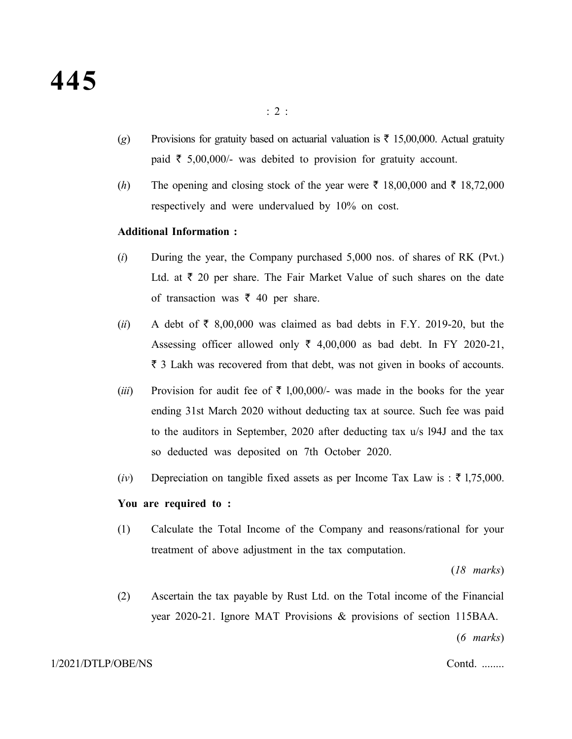- (*g*) Provisions for gratuity based on actuarial valuation is  $\bar{\tau}$  15,00,000. Actual gratuity paid  $\bar{\tau}$  5,00,000/- was debited to provision for gratuity account.
- (*h*) The opening and closing stock of the year were  $\bar{\tau}$  18,00,000 and  $\bar{\tau}$  18,72,000 respectively and were undervalued by 10% on cost.

### **Additional Information :**

- (*i*) During the year, the Company purchased 5,000 nos. of shares of RK (Pvt.) Ltd. at  $\bar{\tau}$  20 per share. The Fair Market Value of such shares on the date of transaction was  $\bar{\xi}$  40 per share.
- (*ii*) A debt of  $\bar{\tau}$  8,00,000 was claimed as bad debts in F.Y. 2019-20, but the Assessing officer allowed only  $\bar{\tau}$  4,00,000 as bad debt. In FY 2020-21,  $\bar{\tau}$  3 Lakh was recovered from that debt, was not given in books of accounts.
- (*iii*) Provision for audit fee of  $\bar{\tau}$  1,00,000/- was made in the books for the year ending 31st March 2020 without deducting tax at source. Such fee was paid to the auditors in September, 2020 after deducting tax u/s l94J and the tax so deducted was deposited on 7th October 2020.
- (*iv*) Depreciation on tangible fixed assets as per Income Tax Law is :  $\bar{\tau}$  1,75,000.

### **You are required to :**

(1) Calculate the Total Income of the Company and reasons/rational for your treatment of above adjustment in the tax computation.

(*18 marks*)

(2) Ascertain the tax payable by Rust Ltd. on the Total income of the Financial year 2020-21. Ignore MAT Provisions & provisions of section 115BAA.

(*6 marks*)

### 1/2021/DTLP/OBE/NS Contd. ........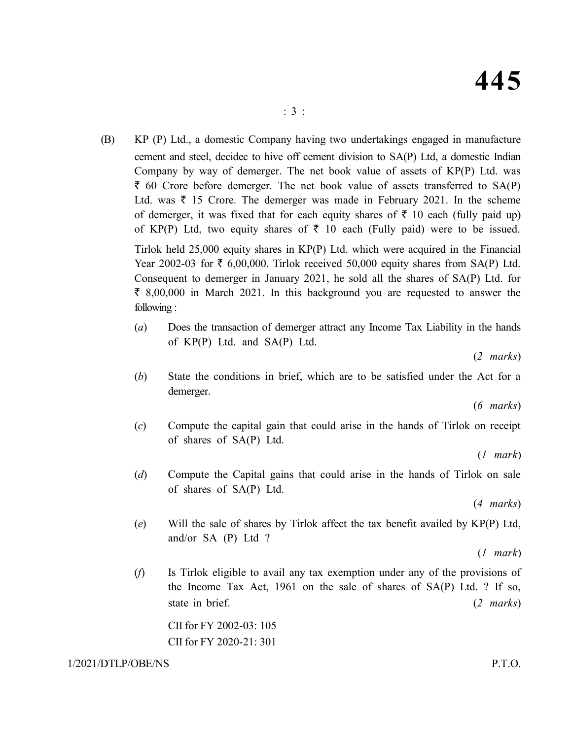- (B) KP (P) Ltd., a domestic Company having two undertakings engaged in manufacture cement and steel, decidec to hive off cement division to SA(P) Ltd, a domestic Indian Company by way of demerger. The net book value of assets of KP(P) Ltd. was  $\bar{\xi}$  60 Crore before demerger. The net book value of assets transferred to SA(P) Ltd. was  $\bar{\tau}$  15 Crore. The demerger was made in February 2021. In the scheme of demerger, it was fixed that for each equity shares of  $\bar{\tau}$  10 each (fully paid up) of KP(P) Ltd, two equity shares of  $\bar{\tau}$  10 each (Fully paid) were to be issued. Tirlok held 25,000 equity shares in KP(P) Ltd. which were acquired in the Financial Year 2002-03 for  $\bar{\tau}$  6,00,000. Tirlok received 50,000 equity shares from SA(P) Ltd. Consequent to demerger in January 2021, he sold all the shares of SA(P) Ltd. for  $\bar{\xi}$  8,00,000 in March 2021. In this background you are requested to answer the following :
	- (*a*) Does the transaction of demerger attract any Income Tax Liability in the hands of KP(P) Ltd. and SA(P) Ltd.

(*2 marks*)

(*b*) State the conditions in brief, which are to be satisfied under the Act for a demerger.

(*6 marks*)

(*c*) Compute the capital gain that could arise in the hands of Tirlok on receipt of shares of SA(P) Ltd.

(*1 mark*)

(*d*) Compute the Capital gains that could arise in the hands of Tirlok on sale of shares of SA(P) Ltd.

(*4 marks*)

(*e*) Will the sale of shares by Tirlok affect the tax benefit availed by KP(P) Ltd, and/or SA (P) Ltd ?

(*1 mark*)

(*f*) Is Tirlok eligible to avail any tax exemption under any of the provisions of the Income Tax Act, 1961 on the sale of shares of SA(P) Ltd. ? If so, state in brief. (*2 marks*)

CII for FY 2002-03: 105 CII for FY 2020-21: 301

### 1/2021/DTLP/OBE/NS P.T.O.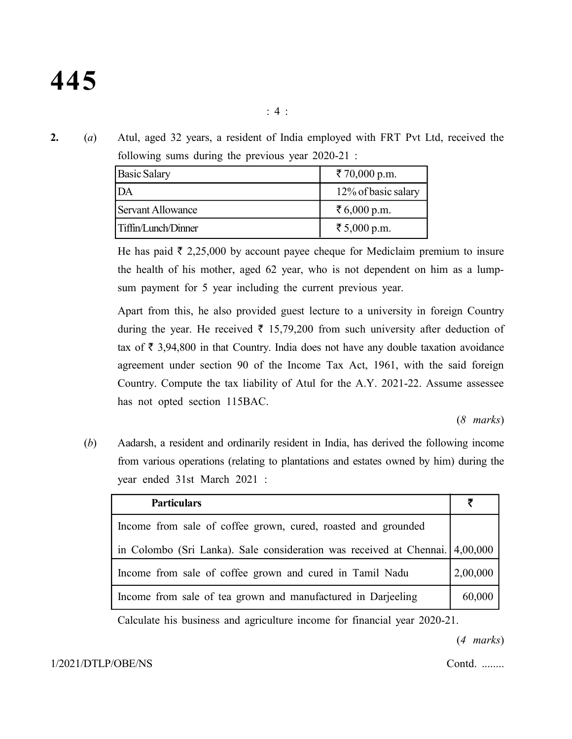# **445**

**2.** (*a*) Atul, aged 32 years, a resident of India employed with FRT Pvt Ltd, received the following sums during the previous year 2020-21 :

| <b>Basic Salary</b> | ₹ 70,000 p.m.               |
|---------------------|-----------------------------|
| ΙDΑ                 | 12% of basic salary         |
| Servant Allowance   | $\bar{5}6,000 \text{ p.m.}$ |
| Tiffin/Lunch/Dinner | ₹ 5,000 p.m.                |

He has paid  $\bar{\tau}$  2,25,000 by account payee cheque for Mediclaim premium to insure the health of his mother, aged 62 year, who is not dependent on him as a lumpsum payment for 5 year including the current previous year.

Apart from this, he also provided guest lecture to a university in foreign Country during the year. He received  $\bar{\tau}$  15,79,200 from such university after deduction of tax of  $\bar{\tau}$  3,94,800 in that Country. India does not have any double taxation avoidance agreement under section 90 of the Income Tax Act, 1961, with the said foreign Country. Compute the tax liability of Atul for the A.Y. 2021-22. Assume assessee has not opted section 115BAC.

(*8 marks*)

(*b*) Aadarsh, a resident and ordinarily resident in India, has derived the following income from various operations (relating to plantations and estates owned by him) during the year ended 31st March 2021 :

| <b>Particulars</b>                                                           |          |
|------------------------------------------------------------------------------|----------|
| Income from sale of coffee grown, cured, roasted and grounded                |          |
| in Colombo (Sri Lanka). Sale consideration was received at Chennai. 4,00,000 |          |
| Income from sale of coffee grown and cured in Tamil Nadu                     | 2,00,000 |
| Income from sale of tea grown and manufactured in Darjeeling                 | 60,000   |

Calculate his business and agriculture income for financial year 2020-21.

(*4 marks*)

### 1/2021/DTLP/OBE/NS Contd. ........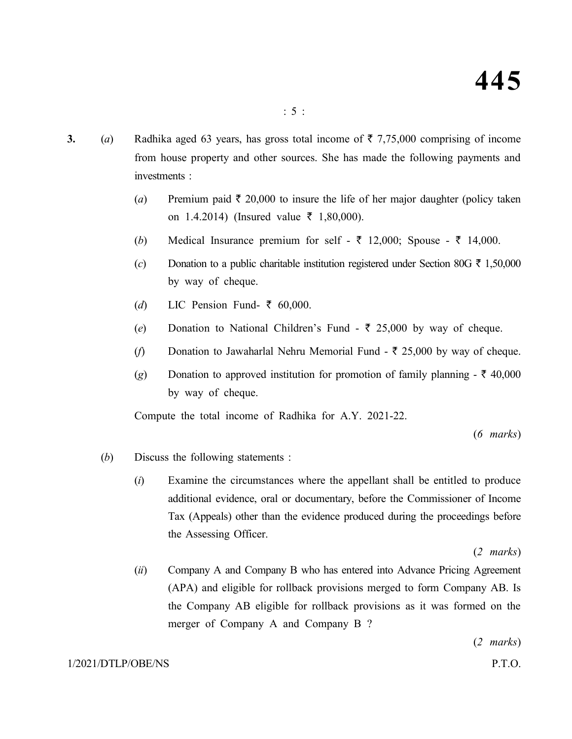- **3.** (*a*) Radhika aged 63 years, has gross total income of  $\bar{\tau}$  7,75,000 comprising of income from house property and other sources. She has made the following payments and investments :
	- (*a*) Premium paid  $\bar{\tau}$  20,000 to insure the life of her major daughter (policy taken on 1.4.2014) (Insured value  $\bar{\tau}$  1,80,000).
	- (*b*) Medical Insurance premium for self  $\bar{\tau}$  12,000; Spouse  $\bar{\tau}$  14,000.
	- (*c*) Donation to a public charitable institution registered under Section 80G  $\bar{\tau}$  1,50,000 by way of cheque.
	- (*d*) LIC Pension Fund-  $\bar{\tau}$  60,000.
	- (*e*) Donation to National Children's Fund  $\overline{z}$  25,000 by way of cheque.
	- (*f*) Donation to Jawaharlal Nehru Memorial Fund  $\overline{\epsilon}$  25,000 by way of cheque.
	- (*g*) Donation to approved institution for promotion of family planning  $-\bar{\tau}$  40,000 by way of cheque.

Compute the total income of Radhika for A.Y. 2021-22.

(*6 marks*)

- (*b*) Discuss the following statements :
	- (*i*) Examine the circumstances where the appellant shall be entitled to produce additional evidence, oral or documentary, before the Commissioner of Income Tax (Appeals) other than the evidence produced during the proceedings before the Assessing Officer.

(*2 marks*)

(*ii*) Company A and Company B who has entered into Advance Pricing Agreement (APA) and eligible for rollback provisions merged to form Company AB. Is the Company AB eligible for rollback provisions as it was formed on the merger of Company A and Company B ?

(*2 marks*)

### 1/2021/DTLP/OBE/NS P.T.O.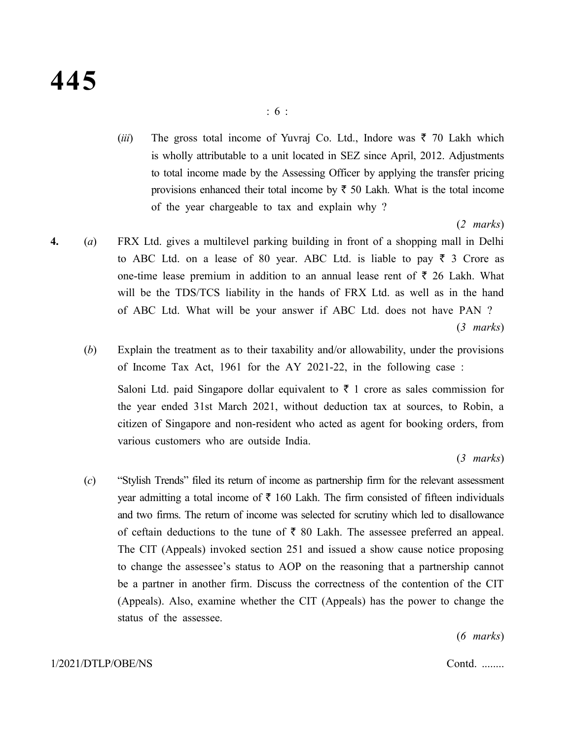(*iii*) The gross total income of Yuvraj Co. Ltd., Indore was  $\bar{\tau}$  70 Lakh which is wholly attributable to a unit located in SEZ since April, 2012. Adjustments to total income made by the Assessing Officer by applying the transfer pricing provisions enhanced their total income by  $\bar{\tau}$  50 Lakh. What is the total income of the year chargeable to tax and explain why ?

**4.** (*a*) FRX Ltd. gives a multilevel parking building in front of a shopping mall in Delhi to ABC Ltd. on a lease of 80 year. ABC Ltd. is liable to pay  $\bar{\tau}$  3 Crore as one-time lease premium in addition to an annual lease rent of  $\bar{\tau}$  26 Lakh. What will be the TDS/TCS liability in the hands of FRX Ltd. as well as in the hand of ABC Ltd. What will be your answer if ABC Ltd. does not have PAN ? (*3 marks*)

(*b*) Explain the treatment as to their taxability and/or allowability, under the provisions of Income Tax Act, 1961 for the AY 2021-22, in the following case : Saloni Ltd. paid Singapore dollar equivalent to  $\bar{\tau}$  1 crore as sales commission for the year ended 31st March 2021, without deduction tax at sources, to Robin, a citizen of Singapore and non-resident who acted as agent for booking orders, from various customers who are outside India.

(*3 marks*)

(*2 marks*)

(*c*) "Stylish Trends" filed its return of income as partnership firm for the relevant assessment year admitting a total income of  $\bar{\tau}$  160 Lakh. The firm consisted of fifteen individuals and two firms. The return of income was selected for scrutiny which led to disallowance of ceftain deductions to the tune of  $\bar{\tau}$  80 Lakh. The assessee preferred an appeal. The CIT (Appeals) invoked section 251 and issued a show cause notice proposing to change the assessee's status to AOP on the reasoning that a partnership cannot be a partner in another firm. Discuss the correctness of the contention of the CIT (Appeals). Also, examine whether the CIT (Appeals) has the power to change the status of the assessee.

(*6 marks*)

### 1/2021/DTLP/OBE/NS Contd. ........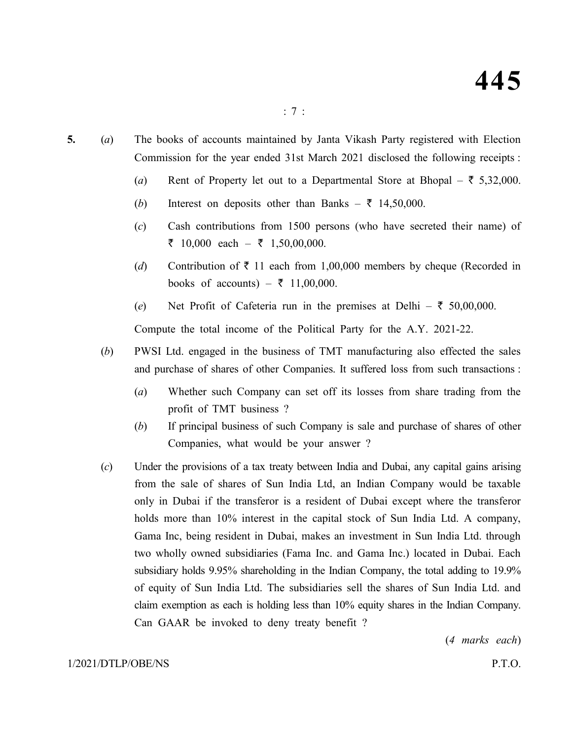- **5.** (*a*) The books of accounts maintained by Janta Vikash Party registered with Election Commission for the year ended 31st March 2021 disclosed the following receipts :
	- (*a*) Rent of Property let out to a Departmental Store at Bhopal  $\bar{\tau}$  5,32,000.
	- (*b*) Interest on deposits other than Banks  $\bar{\tau}$  14,50,000.
	- (*c*) Cash contributions from 1500 persons (who have secreted their name) of ₹ 10,000 each – ₹ 1,50,00,000.
	- (*d*) Contribution of  $\bar{\tau}$  11 each from 1,00,000 members by cheque (Recorded in books of accounts) –  $\bar{\tau}$  11,00,000.
	- (*e*) Net Profit of Cafeteria run in the premises at Delhi  $\bar{\tau}$  50,00,000.

Compute the total income of the Political Party for the A.Y. 2021-22.

- (*b*) PWSI Ltd. engaged in the business of TMT manufacturing also effected the sales and purchase of shares of other Companies. It suffered loss from such transactions :
	- (*a*) Whether such Company can set off its losses from share trading from the profit of TMT business ?
	- (*b*) If principal business of such Company is sale and purchase of shares of other Companies, what would be your answer ?
- (*c*) Under the provisions of a tax treaty between India and Dubai, any capital gains arising from the sale of shares of Sun India Ltd, an Indian Company would be taxable only in Dubai if the transferor is a resident of Dubai except where the transferor holds more than 10% interest in the capital stock of Sun India Ltd. A company, Gama Inc, being resident in Dubai, makes an investment in Sun India Ltd. through two wholly owned subsidiaries (Fama Inc. and Gama Inc.) located in Dubai. Each subsidiary holds 9.95% shareholding in the Indian Company, the total adding to 19.9% of equity of Sun India Ltd. The subsidiaries sell the shares of Sun India Ltd. and claim exemption as each is holding less than 10% equity shares in the Indian Company. Can GAAR be invoked to deny treaty benefit ?

(*4 marks each*)

### 1/2021/DTLP/OBE/NS P.T.O.